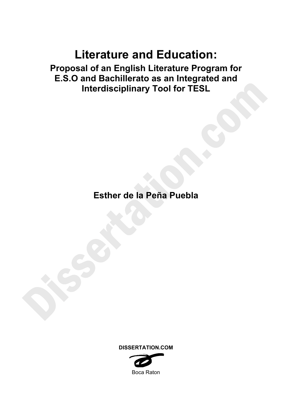# **Literature and Education:**

**Proposal of an English Literature Program for E.S.O and Bachillerato as an Integrated and Interdisciplinary Tool for TESL** 

**Esther de la Peña Puebla**



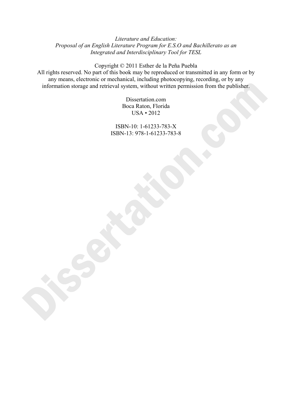# *Literature and Education: Proposal of an English Literature Program for E.S.O and Bachillerato as an Integrated and Interdisciplinary Tool for TESL*

Copyright © 2011 Esther de la Peña Puebla All rights reserved. No part of this book may be reproduced or transmitted in any form or by any means, electronic or mechanical, including photocopying, recording, or by any information storage and retrieval system, without written permission from the publisher.

> Dissertation.com Boca Raton, Florida USA • 2012

ISBN-10: 1-61233-783-X ISBN-13: 978-1-61233-783-8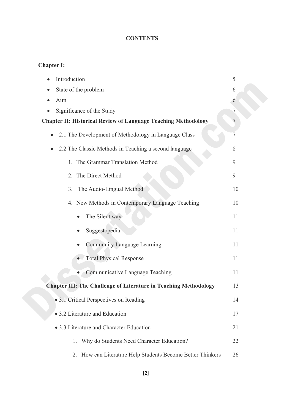# **CONTENTS**

# **Chapter I:**

| Introduction                                                            | 5  |
|-------------------------------------------------------------------------|----|
| State of the problem                                                    | 6  |
| Aim                                                                     | 6  |
| Significance of the Study                                               | 7  |
| <b>Chapter II: Historical Review of Language Teaching Methodology</b>   | 7  |
| 2.1 The Development of Methodology in Language Class<br>$\bullet$       | 7  |
| 2.2 The Classic Methods in Teaching a second language                   | 8  |
| 1. The Grammar Translation Method                                       | 9  |
| 2. The Direct Method                                                    | 9  |
| The Audio-Lingual Method<br>3.                                          | 10 |
| 4. New Methods in Contemporary Language Teaching                        | 10 |
| The Silent way<br>$\bullet$                                             | 11 |
| Suggestopedia                                                           | 11 |
| Community Language Learning                                             | 11 |
| <b>Total Physical Response</b>                                          | 11 |
| Communicative Language Teaching                                         | 11 |
| <b>Chapter III: The Challenge of Literature in Teaching Methodology</b> | 13 |
| • 3.1 Critical Perspectives on Reading                                  | 14 |
| • 3.2 Literature and Education                                          | 17 |
| • 3.3 Literature and Character Education                                | 21 |
| Why do Students Need Character Education?<br>1.                         | 22 |
| How can Literature Help Students Become Better Thinkers<br>2.           | 26 |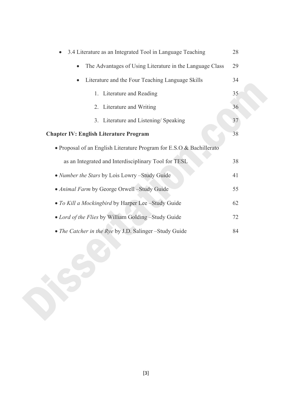| 3.4 Literature as an Integrated Tool in Language Teaching             | 28 |
|-----------------------------------------------------------------------|----|
| The Advantages of Using Literature in the Language Class<br>$\bullet$ | 29 |
| Literature and the Four Teaching Language Skills<br>$\bullet$         | 34 |
| 1. Literature and Reading                                             | 35 |
| 2. Literature and Writing                                             | 36 |
| 3. Literature and Listening/ Speaking                                 | 37 |
| <b>Chapter IV: English Literature Program</b>                         | 38 |
| • Proposal of an English Literature Program for E.S.O & Bachillerato  |    |
| as an Integrated and Interdisciplinary Tool for TESL                  | 38 |
| • Number the Stars by Lois Lowry -Study Guide                         | 41 |
| • Animal Farm by George Orwell -Study Guide                           | 55 |
| • To Kill a Mockingbird by Harper Lee -Study Guide                    | 62 |
| • Lord of the Flies by William Golding -Study Guide                   | 72 |
| • The Catcher in the Rye by J.D. Salinger -Study Guide                | 84 |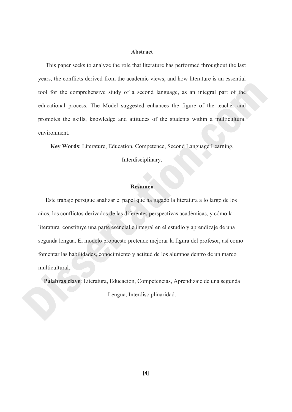# **Abstract**

 This paper seeks to analyze the role that literature has performed throughout the last years, the conflicts derived from the academic views, and how literature is an essential tool for the comprehensive study of a second language, as an integral part of the educational process. The Model suggested enhances the figure of the teacher and promotes the skills, knowledge and attitudes of the students within a multicultural environment.

**Key Words**: Literature, Education, Competence, Second Language Learning,

Interdisciplinary.

# **Resumen**

 Este trabajo persigue analizar el papel que ha jugado la literatura a lo largo de los años, los conflictos derivados de las diferentes perspectivas académicas, y cómo la literatura constituye una parte esencial e integral en el estudio y aprendizaje de una segunda lengua. El modelo propuesto pretende mejorar la figura del profesor, así como fomentar las habilidades, conocimiento y actitud de los alumnos dentro de un marco multicultural.

**Palabras clave**: Literatura, Educación, Competencias, Aprendizaje de una segunda Lengua, Interdisciplinaridad.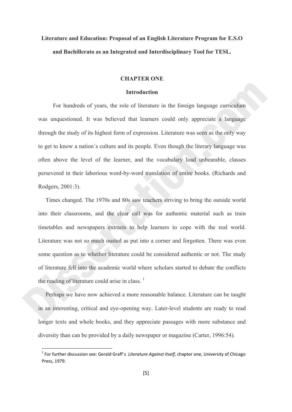# **Literature and Education: Proposal of an English Literature Program for E.S.O and Bachillerato as an Integrated and Interdisciplinary Tool for TESL.**

# **CHAPTER ONE**

#### **Introduction**

 For hundreds of years, the role of literature in the foreign language curriculum was unquestioned. It was believed that learners could only appreciate a language through the study of its highest form of expression. Literature was seen as the only way to get to know a nation´s culture and its people. Even though the literary language was often above the level of the learner, and the vocabulary load unbearable, classes persevered in their laborious word-by-word translation of entire books. (Richards and Rodgers, 2001:3).

 Times changed. The 1970s and 80s saw teachers striving to bring the outside world into their classrooms, and the clear call was for authentic material such as train timetables and newspapers extracts to help learners to cope with the real world. Literature was not so much ousted as put into a corner and forgotten. There was even some question as to whether literature could be considered authentic or not. The study of literature fell into the academic world where scholars started to debate the conflicts the reading of literature could arise in class.  $<sup>1</sup>$ </sup>

 Perhaps we have now achieved a more reasonable balance. Literature can be taught in an interesting, critical and eye-opening way. Later-level students are ready to read longer texts and whole books, and they appreciate passages with more substance and diversity than can be provided by a daily newspaper or magazine (Carter, 1996:54).

<sup>1</sup> For further discussion see: Gerald Graff´s *Literature Against Itself*, chapter one, University of Chicago Press, 1979.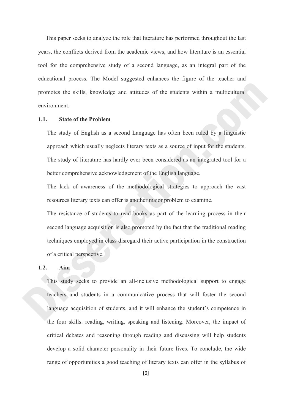This paper seeks to analyze the role that literature has performed throughout the last years, the conflicts derived from the academic views, and how literature is an essential tool for the comprehensive study of a second language, as an integral part of the educational process. The Model suggested enhances the figure of the teacher and promotes the skills, knowledge and attitudes of the students within a multicultural environment.

#### **1.1. State of the Problem**

The study of English as a second Language has often been ruled by a linguistic approach which usually neglects literary texts as a source of input for the students. The study of literature has hardly ever been considered as an integrated tool for a better comprehensive acknowledgement of the English language.

The lack of awareness of the methodological strategies to approach the vast resources literary texts can offer is another major problem to examine.

The resistance of students to read books as part of the learning process in their second language acquisition is also promoted by the fact that the traditional reading techniques employed in class disregard their active participation in the construction of a critical perspective.

# **1.2. Aim**

This study seeks to provide an all-inclusive methodological support to engage teachers and students in a communicative process that will foster the second language acquisition of students, and it will enhance the student´s competence in the four skills: reading, writing, speaking and listening. Moreover, the impact of critical debates and reasoning through reading and discussing will help students develop a solid character personality in their future lives. To conclude, the wide range of opportunities a good teaching of literary texts can offer in the syllabus of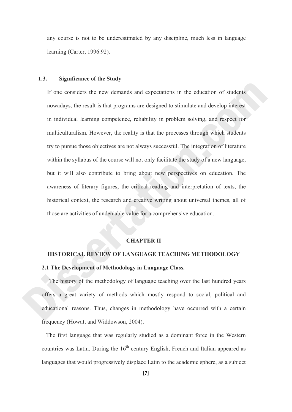any course is not to be underestimated by any discipline, much less in language learning (Carter, 1996:92).

# **1.3. Significance of the Study**

If one considers the new demands and expectations in the education of students nowadays, the result is that programs are designed to stimulate and develop interest in individual learning competence, reliability in problem solving, and respect for multiculturalism. However, the reality is that the processes through which students try to pursue those objectives are not always successful. The integration of literature within the syllabus of the course will not only facilitate the study of a new language, but it will also contribute to bring about new perspectives on education. The awareness of literary figures, the critical reading and interpretation of texts, the historical context, the research and creative writing about universal themes, all of those are activities of undeniable value for a comprehensive education.

#### **CHAPTER II**

#### **HISTORICAL REVIEW OF LANGUAGE TEACHING METHODOLOGY**

# **2.1 The Development of Methodology in Language Class.**

 The history of the methodology of language teaching over the last hundred years offers a great variety of methods which mostly respond to social, political and educational reasons. Thus, changes in methodology have occurred with a certain frequency (Howatt and Widdowson, 2004).

 The first language that was regularly studied as a dominant force in the Western countries was Latin. During the  $16<sup>th</sup>$  century English, French and Italian appeared as languages that would progressively displace Latin to the academic sphere, as a subject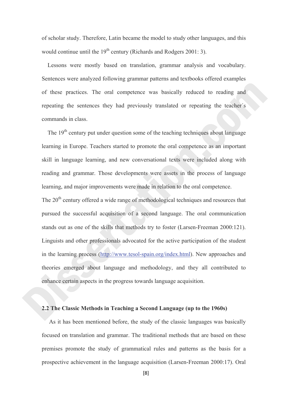of scholar study. Therefore, Latin became the model to study other languages, and this would continue until the  $19<sup>th</sup>$  century (Richards and Rodgers 2001: 3).

 Lessons were mostly based on translation, grammar analysis and vocabulary. Sentences were analyzed following grammar patterns and textbooks offered examples of these practices. The oral competence was basically reduced to reading and repeating the sentences they had previously translated or repeating the teacher´s commands in class.

The 19<sup>th</sup> century put under question some of the teaching techniques about language learning in Europe. Teachers started to promote the oral competence as an important skill in language learning, and new conversational texts were included along with reading and grammar. Those developments were assets in the process of language learning, and major improvements were made in relation to the oral competence.

The 20<sup>th</sup> century offered a wide range of methodological techniques and resources that pursued the successful acquisition of a second language. The oral communication stands out as one of the skills that methods try to foster (Larsen-Freeman 2000:121). Linguists and other professionals advocated for the active participation of the student in the learning process (http://www.tesol-spain.org/index.html). New approaches and theories emerged about language and methodology, and they all contributed to enhance certain aspects in the progress towards language acquisition.

# **2.2 The Classic Methods in Teaching a Second Language (up to the 1960s)**

 As it has been mentioned before, the study of the classic languages was basically focused on translation and grammar. The traditional methods that are based on these premises promote the study of grammatical rules and patterns as the basis for a prospective achievement in the language acquisition (Larsen-Freeman 2000:17). Oral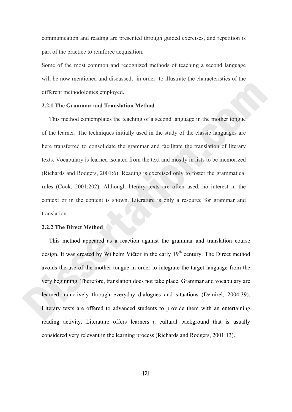communication and reading are presented through guided exercises, and repetition is part of the practice to reinforce acquisition.

Some of the most common and recognized methods of teaching a second language will be now mentioned and discussed, in order to illustrate the characteristics of the different methodologies employed.

### **2.2.1 The Grammar and Translation Method**

 This method contemplates the teaching of a second language in the mother tongue of the learner. The techniques initially used in the study of the classic languages are here transferred to consolidate the grammar and facilitate the translation of literary texts. Vocabulary is learned isolated from the text and mostly in lists to be memorized (Richards and Rodgers, 2001:6). Reading is exercised only to foster the grammatical rules (Cook, 2001:202). Although literary texts are often used, no interest in the context or in the content is shown. Literature is only a resource for grammar and translation.

# **2.2.2 The Direct Method**

 This method appeared as a reaction against the grammar and translation course design. It was created by Wilhelm Viëtor in the early 19<sup>th</sup> century. The Direct method avoids the use of the mother tongue in order to integrate the target language from the very beginning. Therefore, translation does not take place. Grammar and vocabulary are learned inductively through everyday dialogues and situations (Demirel, 2004:39). Literary texts are offered to advanced students to provide them with an entertaining reading activity. Literature offers learners a cultural background that is usually considered very relevant in the learning process (Richards and Rodgers, 2001:13).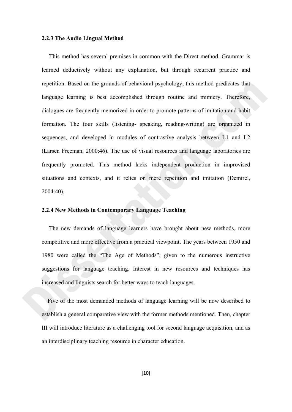#### **2.2.3 The Audio Lingual Method**

 This method has several premises in common with the Direct method. Grammar is learned deductively without any explanation, but through recurrent practice and repetition. Based on the grounds of behavioral psychology, this method predicates that language learning is best accomplished through routine and mimicry. Therefore, dialogues are frequently memorized in order to promote patterns of imitation and habit formation. The four skills (listening- speaking, reading-writing) are organized in sequences, and developed in modules of contrastive analysis between L1 and L2 (Larsen Freeman, 2000:46). The use of visual resources and language laboratories are frequently promoted. This method lacks independent production in improvised situations and contexts, and it relies on mere repetition and imitation (Demirel, 2004:40).

# **2.2.4 New Methods in Contemporary Language Teaching**

The new demands of language learners have brought about new methods, more competitive and more effective from a practical viewpoint. The years between 1950 and 1980 were called the "The Age of Methods", given to the numerous instructive suggestions for language teaching. Interest in new resources and techniques has increased and linguists search for better ways to teach languages.

 Five of the most demanded methods of language learning will be now described to establish a general comparative view with the former methods mentioned. Then, chapter III will introduce literature as a challenging tool for second language acquisition, and as an interdisciplinary teaching resource in character education.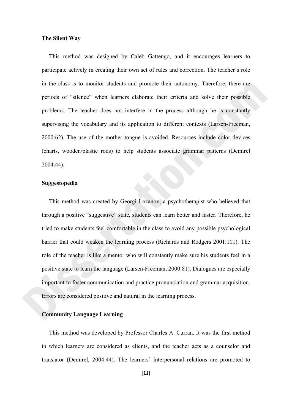## **The Silent Way**

 This method was designed by Caleb Gattengo, and it encourages learners to participate actively in creating their own set of rules and correction. The teacher´s role in the class is to monitor students and promote their autonomy. Therefore, there are periods of "silence" when learners elaborate their criteria and solve their possible problems. The teacher does not interfere in the process although he is constantly supervising the vocabulary and its application to different contexts (Larsen-Freeman, 2000:62). The use of the mother tongue is avoided. Resources include color devices (charts, wooden/plastic rods) to help students associate grammar patterns (Demirel 2004:44).

# **Suggestopedia**

 This method was created by Georgi Lozanov, a psychotherapist who believed that through a positive "suggestive" state, students can learn better and faster. Therefore, he tried to make students feel comfortable in the class to avoid any possible psychological barrier that could weaken the learning process (Richards and Rodgers 2001:101). The role of the teacher is like a mentor who will constantly make sure his students feel in a positive state to learn the language (Larsen-Freeman, 2000:81). Dialogues are especially important to foster communication and practice pronunciation and grammar acquisition. Errors are considered positive and natural in the learning process.

# **Community Language Learning**

 This method was developed by Professor Charles A. Curran. It was the first method in which learners are considered as clients, and the teacher acts as a counselor and translator (Demirel, 2004:44). The learners´ interpersonal relations are promoted to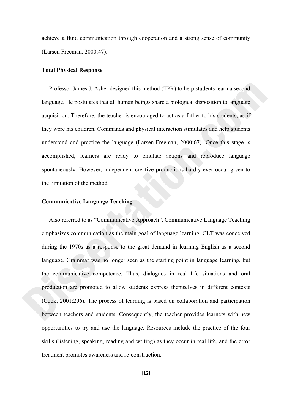achieve a fluid communication through cooperation and a strong sense of community (Larsen Freeman, 2000:47).

#### **Total Physical Response**

 Professor James J. Asher designed this method (TPR) to help students learn a second language. He postulates that all human beings share a biological disposition to language acquisition. Therefore, the teacher is encouraged to act as a father to his students, as if they were his children. Commands and physical interaction stimulates and help students understand and practice the language (Larsen-Freeman, 2000:67). Once this stage is accomplished, learners are ready to emulate actions and reproduce language spontaneously. However, independent creative productions hardly ever occur given to the limitation of the method.

# **Communicative Language Teaching**

 Also referred to as "Communicative Approach", Communicative Language Teaching emphasizes communication as the main goal of language learning. CLT was conceived during the 1970s as a response to the great demand in learning English as a second language. Grammar was no longer seen as the starting point in language learning, but the communicative competence. Thus, dialogues in real life situations and oral production are promoted to allow students express themselves in different contexts (Cook, 2001:206). The process of learning is based on collaboration and participation between teachers and students. Consequently, the teacher provides learners with new opportunities to try and use the language. Resources include the practice of the four skills (listening, speaking, reading and writing) as they occur in real life, and the error treatment promotes awareness and re-construction.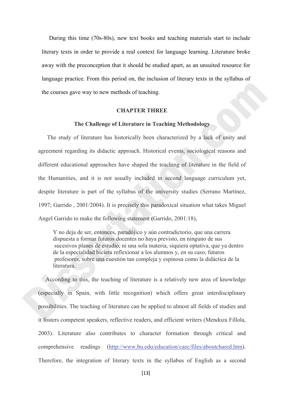During this time (70s-80s), new text books and teaching materials start to include literary texts in order to provide a real context for language learning. Literature broke away with the preconception that it should be studied apart, as an unsuited resource for language practice. From this period on, the inclusion of literary texts in the syllabus of the courses gave way to new methods of teaching.

# **CHAPTER THREE**

#### **The Challenge of Literature in Teaching Methodology**

 The study of literature has historically been characterized by a lack of unity and agreement regarding its didactic approach. Historical events, sociological reasons and different educational approaches have shaped the teaching of literature in the field of the Humanities, and it is not usually included in second language curriculum yet, despite literature is part of the syllabus of the university studies (Serrano Martínez, 1997; Garrido , 2001/2004). It is precisely this paradoxical situation what takes Miguel Angel Garrido to make the following statement **(**Garrido, 2001:18),

 Y no deja de ser, entonces, paradójico y aún contradictorio, que una carrera dispuesta a formar futuros docentes no haya previsto, en ninguno de sus sucesivos planes de estudio, ni una sola materia, siquiera optativa, que ya dentro de la especialidad hiciera reflexionar a los alumnos y, en su caso, futuros profesores, sobre una cuestión tan compleja y espinosa como la didáctica de la literatura.

 According to this, the teaching of literature is a relatively new area of knowledge (especially in Spain, with little recognition) which offers great interdisciplinary possibilities. The teaching of literature can be applied to almost all fields of studies and it fosters competent speakers, reflective readers, and efficient writers (Mendoza Fillola, 2003). Literature also contributes to character formation through critical and comprehensive readings (http://www.bu.edu/education/caec/files/aboutchared.htm). Therefore, the integration of literary texts in the syllabus of English as a second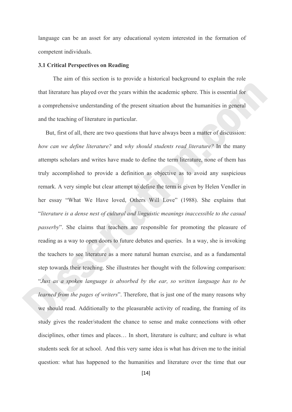language can be an asset for any educational system interested in the formation of competent individuals.

#### **3.1 Critical Perspectives on Reading**

 The aim of this section is to provide a historical background to explain the role that literature has played over the years within the academic sphere. This is essential for a comprehensive understanding of the present situation about the humanities in general and the teaching of literature in particular.

 But, first of all, there are two questions that have always been a matter of discussion: *how can we define literature?* and *why should students read literature?* In the many attempts scholars and writes have made to define the term literature, none of them has truly accomplished to provide a definition as objective as to avoid any suspicious remark. A very simple but clear attempt to define the term is given by Helen Vendler in her essay "What We Have loved, Others Will Love" (1988). She explains that "*literature is a dense nest of cultural and linguistic meanings inaccessible to the casual passerby*". She claims that teachers are responsible for promoting the pleasure of reading as a way to open doors to future debates and queries. In a way, she is invoking the teachers to see literature as a more natural human exercise, and as a fundamental step towards their teaching. She illustrates her thought with the following comparison: "*Just as a spoken language is absorbed by the ear, so written language has to be learned from the pages of writers*". Therefore, that is just one of the many reasons why we should read. Additionally to the pleasurable activity of reading, the framing of its study gives the reader/student the chance to sense and make connections with other disciplines, other times and places… In short, literature is culture; and culture is what students seek for at school. And this very same idea is what has driven me to the initial question: what has happened to the humanities and literature over the time that our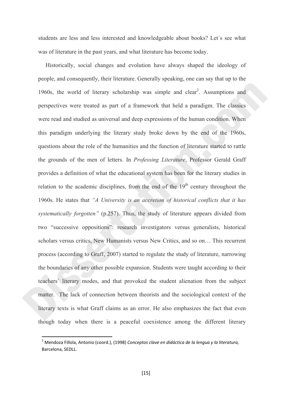students are less and less interested and knowledgeable about books? Let´s see what was of literature in the past years, and what literature has become today.

 Historically, social changes and evolution have always shaped the ideology of people, and consequently, their literature. Generally speaking, one can say that up to the 1960s, the world of literary scholarship was simple and clear<sup>2</sup>. Assumptions and perspectives were treated as part of a framework that held a paradigm. The classics were read and studied as universal and deep expressions of the human condition. When this paradigm underlying the literary study broke down by the end of the 1960s, questions about the role of the humanities and the function of literature started to rattle the grounds of the men of letters. In *Professing Literature*, Professor Gerald Graff provides a definition of what the educational system has been for the literary studies in relation to the academic disciplines, from the end of the  $19<sup>th</sup>$  century throughout the 1960s. He states that *"A University is an accretion of historical conflicts that it has systematically forgotten"* (p.257). Thus, the study of literature appears divided from two "successive oppositions": research investigators versus generalists, historical scholars versus critics, New Humanists versus New Critics, and so on… This recurrent process (according to Graff, 2007) started to regulate the study of literature, narrowing the boundaries of any other possible expansion. Students were taught according to their teachers´ literary modes, and that provoked the student alienation from the subject matter. The lack of connection between theorists and the sociological context of the literary texts is what Graff claims as an error. He also emphasizes the fact that even though today when there is a peaceful coexistence among the different literary

<sup>2</sup> Mendoza Fillola, Antonio (coord.), (1998) *Conceptos clave en didáctica de la lengua y la literatura,* Barcelona, SEDLL.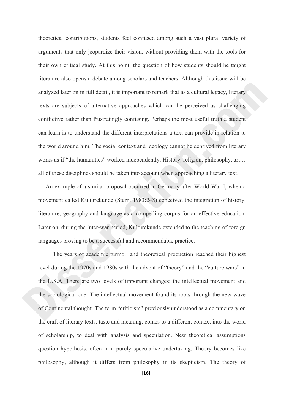theoretical contributions, students feel confused among such a vast plural variety of arguments that only jeopardize their vision, without providing them with the tools for their own critical study. At this point, the question of how students should be taught literature also opens a debate among scholars and teachers. Although this issue will be analyzed later on in full detail, it is important to remark that as a cultural legacy, literary texts are subjects of alternative approaches which can be perceived as challenging conflictive rather than frustratingly confusing. Perhaps the most useful truth a student can learn is to understand the different interpretations a text can provide in relation to the world around him. The social context and ideology cannot be deprived from literary works as if "the humanities" worked independently. History, religion, philosophy, art... all of these disciplines should be taken into account when approaching a literary text.

 An example of a similar proposal occurred in Germany after World War I, when a movement called Kulturekunde (Stern, 1983:248) conceived the integration of history, literature, geography and language as a compelling corpus for an effective education. Later on, during the inter-war period, Kulturekunde extended to the teaching of foreign languages proving to be a successful and recommendable practice.

 The years of academic turmoil and theoretical production reached their highest level during the 1970s and 1980s with the advent of "theory" and the "culture wars" in the U.S.A. There are two levels of important changes: the intellectual movement and the sociological one. The intellectual movement found its roots through the new wave of Continental thought. The term "criticism" previously understood as a commentary on the craft of literary texts, taste and meaning, comes to a different context into the world of scholarship, to deal with analysis and speculation. New theoretical assumptions question hypothesis, often in a purely speculative undertaking. Theory becomes like philosophy, although it differs from philosophy in its skepticism. The theory of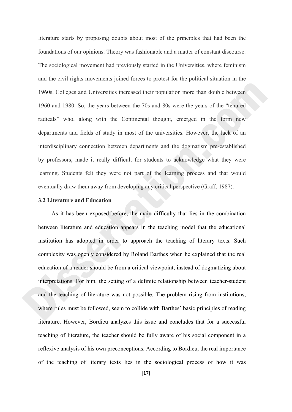literature starts by proposing doubts about most of the principles that had been the foundations of our opinions. Theory was fashionable and a matter of constant discourse. The sociological movement had previously started in the Universities, where feminism and the civil rights movements joined forces to protest for the political situation in the 1960s. Colleges and Universities increased their population more than double between 1960 and 1980. So, the years between the 70s and 80s were the years of the "tenured radicals" who, along with the Continental thought, emerged in the form new departments and fields of study in most of the universities. However, the lack of an interdisciplinary connection between departments and the dogmatism pre-established by professors, made it really difficult for students to acknowledge what they were learning. Students felt they were not part of the learning process and that would eventually draw them away from developing any critical perspective (Graff, 1987).

### **3.2 Literature and Education**

As it has been exposed before, the main difficulty that lies in the combination between literature and education appears in the teaching model that the educational institution has adopted in order to approach the teaching of literary texts. Such complexity was openly considered by Roland Barthes when he explained that the real education of a reader should be from a critical viewpoint, instead of dogmatizing about interpretations. For him, the setting of a definite relationship between teacher-student and the teaching of literature was not possible. The problem rising from institutions, where rules must be followed, seem to collide with Barthes´ basic principles of reading literature. However, Bordieu analyzes this issue and concludes that for a successful teaching of literature, the teacher should be fully aware of his social component in a reflexive analysis of his own preconceptions. According to Bordieu, the real importance of the teaching of literary texts lies in the sociological process of how it was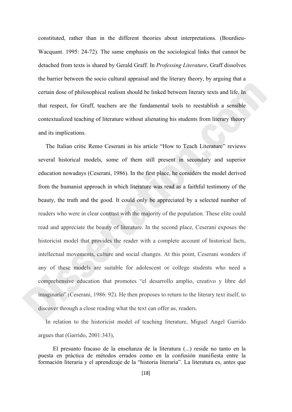constituted, rather than in the different theories about interpretations. (Bourdieu-Wacquant. 1995: 24-72). The same emphasis on the sociological links that cannot be detached from texts is shared by Gerald Graff. In *Professing Literature*, Graff dissolves the barrier between the socio cultural appraisal and the literary theory, by arguing that a certain dose of philosophical realism should be linked between literary texts and life. In that respect, for Graff, teachers are the fundamental tools to reestablish a sensible contextualized teaching of literature without alienating his students from literary theory and its implications.

 The Italian critic Remo Ceserani in his article "How to Teach Literature" reviews several historical models, some of them still present in secondary and superior education nowadays (Ceserani, 1986). In the first place, he considers the model derived from the humanist approach in which literature was read as a faithful testimony of the beauty, the truth and the good. It could only be appreciated by a selected number of readers who were in clear contrast with the majority of the population. These elite could read and appreciate the beauty of literature. In the second place, Ceserani exposes the historicist model that provides the reader with a complete account of historical facts, intellectual movements, culture and social changes. At this point, Ceserani wonders if any of these models are suitable for adolescent or college students who need a comprehensive education that promotes "el desarrollo amplio, creativo y libre del imaginario" (Ceserani, 1986: 92). He then proposes to return to the literary text itself, to discover through a close reading what the text can offer us, readers.

 In relation to the historicist model of teaching literature, Miguel Angel Garrido argues that (Garrido, 2001:343),

 El presunto fracaso de la enseñanza de la literatura (...) reside no tanto en la puesta en práctica de métodos errados como en la confusión manifiesta entre la formación literaria y el aprendizaje de la "historia literaria". La literatura es, antes que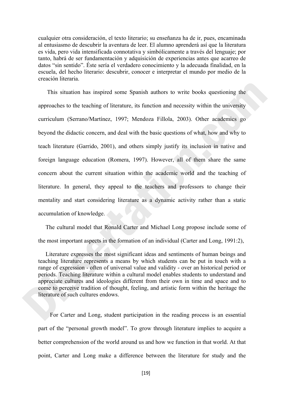cualquier otra consideración, el texto literario; su enseñanza ha de ir, pues, encaminada al entusiasmo de descubrir la aventura de leer. El alumno aprenderá así que la literatura es vida, pero vida intensificada connotativa y simbólicamente a través del lenguaje; por tanto, habrá de ser fundamentación y adquisición de experiencias antes que acarreo de datos "sin sentido". Éste sería el verdadero conocimiento y la adecuada finalidad, en la escuela, del hecho literario: descubrir, conocer e interpretar el mundo por medio de la creación literaria.

 This situation has inspired some Spanish authors to write books questioning the approaches to the teaching of literature, its function and necessity within the university curriculum (Serrano/Martínez, 1997; Mendoza Fillola, 2003). Other academics go beyond the didactic concern, and deal with the basic questions of what, how and why to teach literature (Garrido, 2001), and others simply justify its inclusion in native and foreign language education (Romera, 1997). However, all of them share the same concern about the current situation within the academic world and the teaching of literature. In general, they appeal to the teachers and professors to change their mentality and start considering literature as a dynamic activity rather than a static accumulation of knowledge.

 The cultural model that Ronald Carter and Michael Long propose include some of the most important aspects in the formation of an individual (Carter and Long, 1991:2),

 Literature expresses the most significant ideas and sentiments of human beings and teaching literature represents a means by which students can be put in touch with a range of expression - often of universal value and validity - over an historical period or periods. Teaching literature within a cultural model enables students to understand and appreciate cultures and ideologies different from their own in time and space and to come to perceive tradition of thought, feeling, and artistic form within the heritage the literature of such cultures endows.

 For Carter and Long, student participation in the reading process is an essential part of the "personal growth model". To grow through literature implies to acquire a better comprehension of the world around us and how we function in that world. At that point, Carter and Long make a difference between the literature for study and the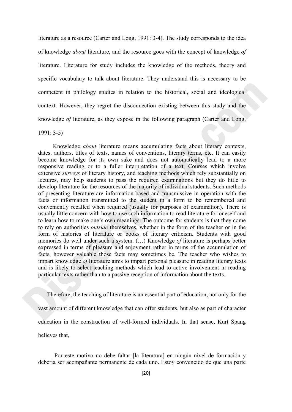literature as a resource (Carter and Long, 1991: 3-4). The study corresponds to the idea of knowledge *about* literature, and the resource goes with the concept of knowledge *of*  literature. Literature for study includes the knowledge of the methods, theory and specific vocabulary to talk about literature. They understand this is necessary to be competent in philology studies in relation to the historical, social and ideological context. However, they regret the disconnection existing between this study and the knowledge *of* literature, as they expose in the following paragraph (Carter and Long,

## 1991: 3-5)

 Knowledge *about* literature means accumulating facts about literary contexts, dates, authors, titles of texts, names of conventions, literary terms, etc. It can easily become knowledge for its own sake and does not automatically lead to a more responsive reading or to a fuller interpretation of a text. Courses which involve extensive *surveys* of literary history, and teaching methods which rely substantially on lectures, may help students to pass the required examinations but they do little to develop literature for the resources of the majority of individual students. Such methods of presenting literature are information-based and transmissive in operation with the facts or information transmitted to the student in a form to be remembered and conveniently recalled when required (usually for purposes of examination). There is usually little concern with how to use such information to read literature for oneself and to learn how to make one's own meanings. The outcome for students is that they come to rely on authorities *outside* themselves, whether in the form of the teacher or in the form of histories of literature or books of literary criticism. Students with good memories do well under such a system. (…) Knowledge *of* literature is perhaps better expressed in terms of pleasure and enjoyment rather in terms of the accumulation of facts, however valuable those facts may sometimes be. The teacher who wishes to impart knowledge *of* literature aims to impart personal pleasure in reading literary texts and is likely to select teaching methods which lead to active involvement in reading particular texts rather than to a passive reception of information about the texts.

 Therefore, the teaching of literature is an essential part of education, not only for the vast amount of different knowledge that can offer students, but also as part of character education in the construction of well-formed individuals. In that sense, Kurt Spang believes that,

 Por este motivo no debe faltar [la literatura] en ningún nivel de formación y debería ser acompañante permanente de cada uno. Estoy convencido de que una parte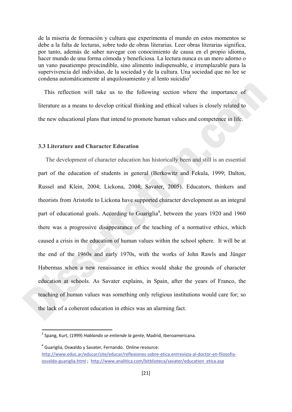de la miseria de formación y cultura que experimenta el mundo en estos momentos se debe a la falta de lecturas, sobre todo de obras literarias. Leer obras literarias significa, por tanto, además de saber navegar con conocimiento de causa en el propio idioma, hacer mundo de una forma cómoda y beneficiosa. La lectura nunca es un mero adorno o un vano pasatiempo prescindible, sino alimento indispensable, e irremplazable para la supervivencia del individuo, de la sociedad y de la cultura. Una sociedad que no lee se condena automáticamente al anquilosamiento y al lento suicidio<sup>3</sup>

 This reflection will take us to the following section where the importance of literature as a means to develop critical thinking and ethical values is closely related to the new educational plans that intend to promote human values and competence in life.

#### **3.3 Literature and Character Education**

 The development of character education has historically been and still is an essential part of the education of students in general (Berkowitz and Fekula, 1999; Dalton, Russel and Klein, 2004; Lickona, 2004; Savater, 2005). Educators, thinkers and theorists from Aristotle to Lickona have supported character development as an integral part of educational goals. According to Guariglia<sup>4</sup>, between the years 1920 and 1960 there was a progressive disappearance of the teaching of a normative ethics, which caused a crisis in the education of human values within the school sphere. It will be at the end of the 1960s and early 1970s, with the works of John Rawls and Jünger Habermas when a new renaissance in ethics would shake the grounds of character education at schools. As Savater explains, in Spain, after the years of Franco, the teaching of human values was something only religious institutions would care for; so the lack of a coherent education in ethics was an alarming fact.

 $4$  Guariglia, Oswaldo y Savater, Fernando. Online resource:

<sup>3</sup> Spang, Kurt, (1999) *Hablando se entiende la gente,* Madrid, Iberoamericana.

http://www.educ.ar/educar/site/educar/reflexiones‐sobre‐etica.entrevista‐al‐doctor‐en‐filosofia‐ osvaldo‐guariglia.html ; http://www.analitica.com/bitblioteca/savater/education\_etica.asp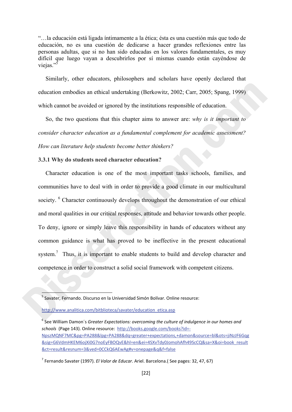"…la educación está ligada íntimamente a la ética; ésta es una cuestión más que todo de educación, no es una cuestión de dedicarse a hacer grandes reflexiones entre las personas adultas, que si no han sido educadas en los valores fundamentales, es muy difícil que luego vayan a descubrirlos por sí mismas cuando están cayéndose de viejas."

 Similarly, other educators, philosophers and scholars have openly declared that education embodies an ethical undertaking (Berkowitz, 2002; Carr, 2005; Spang, 1999) which cannot be avoided or ignored by the institutions responsible of education.

 So, the two questions that this chapter aims to answer are: *why is it important to consider character education as a fundamental complement for academic assessment? How can literature help students become better thinkers?* 

# **3.3.1 Why do students need character education?**

 Character education is one of the most important tasks schools, families, and communities have to deal with in order to provide a good climate in our multicultural society. <sup>6</sup> Character continuously develops throughout the demonstration of our ethical and moral qualities in our critical responses, attitude and behavior towards other people. To deny, ignore or simply leave this responsibility in hands of educators without any common guidance is what has proved to be ineffective in the present educational system.<sup>7</sup> Thus, it is important to enable students to build and develop character and competence in order to construct a solid social framework with competent citizens.

<sup>6</sup> See William Damon´s *Greater Expectations: overcoming the culture of indulgence in our homes and schools* (Page 143). Online resource: http://books.google.com/books?id=‐ NpszMQNF7MC&pg=PA288&lpg=PA288&dq=greater+expectations,+damon&source=bl&ots=jiNzJF6Gqg &sig=G6VdmHKEM6ojXi0G7noEyFBOQvE&hl=en&ei=4SXvTdy0JomohAfh49ScCQ&sa=X&oi=book\_result &ct=result&resnum=3&ved=0CCkQ6AEwAg#v=onepage&q&f=false

<sup>&</sup>lt;sup>5</sup> Savater, Fernando. Discurso en la Universidad Simón Bolívar, Online resource:

http://www.analitica.com/bitblioteca/savater/education\_etica.asp

<sup>7</sup> Fernando Savater (1997). *El Valor de Educar*. Ariel. Barcelona.( See pages: 32, 47, 67)